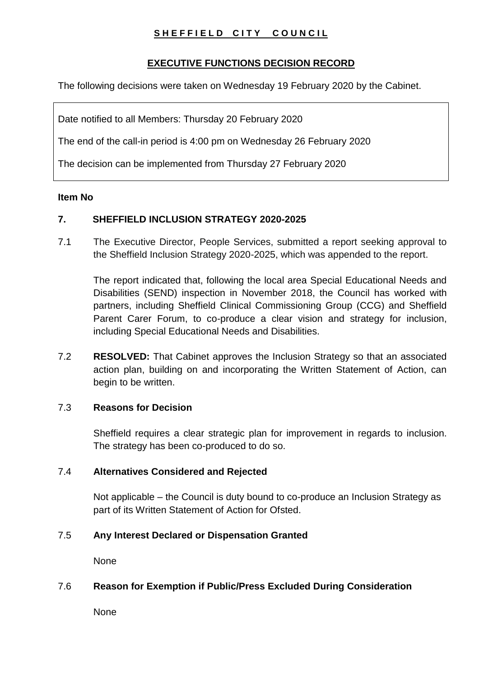# **SHEFFIELD CITY COUNCIL**

# **EXECUTIVE FUNCTIONS DECISION RECORD**

The following decisions were taken on Wednesday 19 February 2020 by the Cabinet.

Date notified to all Members: Thursday 20 February 2020

The end of the call-in period is 4:00 pm on Wednesday 26 February 2020

The decision can be implemented from Thursday 27 February 2020

#### **Item No**

# **7. SHEFFIELD INCLUSION STRATEGY 2020-2025**

7.1 The Executive Director, People Services, submitted a report seeking approval to the Sheffield Inclusion Strategy 2020-2025, which was appended to the report.

The report indicated that, following the local area Special Educational Needs and Disabilities (SEND) inspection in November 2018, the Council has worked with partners, including Sheffield Clinical Commissioning Group (CCG) and Sheffield Parent Carer Forum, to co-produce a clear vision and strategy for inclusion, including Special Educational Needs and Disabilities.

7.2 **RESOLVED:** That Cabinet approves the Inclusion Strategy so that an associated action plan, building on and incorporating the Written Statement of Action, can begin to be written.

#### 7.3 **Reasons for Decision**

Sheffield requires a clear strategic plan for improvement in regards to inclusion. The strategy has been co-produced to do so.

# 7.4 **Alternatives Considered and Rejected**

Not applicable – the Council is duty bound to co-produce an Inclusion Strategy as part of its Written Statement of Action for Ofsted.

#### 7.5 **Any Interest Declared or Dispensation Granted**

None

# 7.6 **Reason for Exemption if Public/Press Excluded During Consideration**

None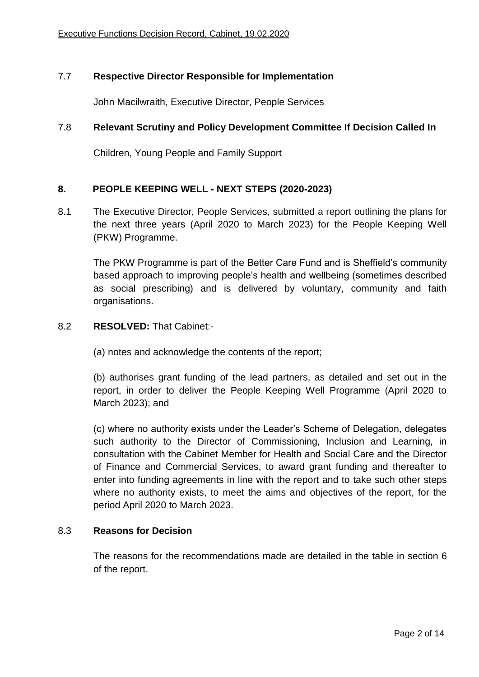# 7.7 **Respective Director Responsible for Implementation**

John Macilwraith, Executive Director, People Services

# 7.8 **Relevant Scrutiny and Policy Development Committee If Decision Called In**

Children, Young People and Family Support

# **8. PEOPLE KEEPING WELL - NEXT STEPS (2020-2023)**

8.1 The Executive Director, People Services, submitted a report outlining the plans for the next three years (April 2020 to March 2023) for the People Keeping Well (PKW) Programme.

The PKW Programme is part of the Better Care Fund and is Sheffield's community based approach to improving people's health and wellbeing (sometimes described as social prescribing) and is delivered by voluntary, community and faith organisations.

#### 8.2 **RESOLVED:** That Cabinet:-

(a) notes and acknowledge the contents of the report;

(b) authorises grant funding of the lead partners, as detailed and set out in the report, in order to deliver the People Keeping Well Programme (April 2020 to March 2023); and

(c) where no authority exists under the Leader's Scheme of Delegation, delegates such authority to the Director of Commissioning, Inclusion and Learning, in consultation with the Cabinet Member for Health and Social Care and the Director of Finance and Commercial Services, to award grant funding and thereafter to enter into funding agreements in line with the report and to take such other steps where no authority exists, to meet the aims and objectives of the report, for the period April 2020 to March 2023.

#### 8.3 **Reasons for Decision**

The reasons for the recommendations made are detailed in the table in section 6 of the report.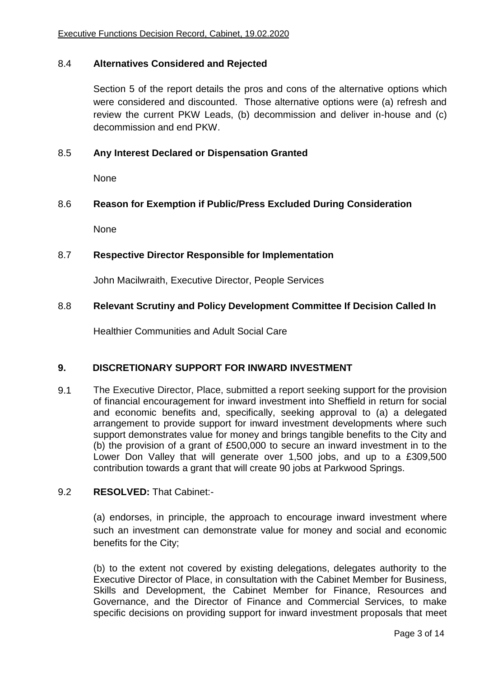#### 8.4 **Alternatives Considered and Rejected**

Section 5 of the report details the pros and cons of the alternative options which were considered and discounted. Those alternative options were (a) refresh and review the current PKW Leads, (b) decommission and deliver in-house and (c) decommission and end PKW.

#### 8.5 **Any Interest Declared or Dispensation Granted**

None

#### 8.6 **Reason for Exemption if Public/Press Excluded During Consideration**

None

#### 8.7 **Respective Director Responsible for Implementation**

John Macilwraith, Executive Director, People Services

#### 8.8 **Relevant Scrutiny and Policy Development Committee If Decision Called In**

Healthier Communities and Adult Social Care

#### **9. DISCRETIONARY SUPPORT FOR INWARD INVESTMENT**

9.1 The Executive Director, Place, submitted a report seeking support for the provision of financial encouragement for inward investment into Sheffield in return for social and economic benefits and, specifically, seeking approval to (a) a delegated arrangement to provide support for inward investment developments where such support demonstrates value for money and brings tangible benefits to the City and (b) the provision of a grant of £500,000 to secure an inward investment in to the Lower Don Valley that will generate over 1,500 jobs, and up to a £309,500 contribution towards a grant that will create 90 jobs at Parkwood Springs.

#### 9.2 **RESOLVED:** That Cabinet:-

(a) endorses, in principle, the approach to encourage inward investment where such an investment can demonstrate value for money and social and economic benefits for the City;

(b) to the extent not covered by existing delegations, delegates authority to the Executive Director of Place, in consultation with the Cabinet Member for Business, Skills and Development, the Cabinet Member for Finance, Resources and Governance, and the Director of Finance and Commercial Services, to make specific decisions on providing support for inward investment proposals that meet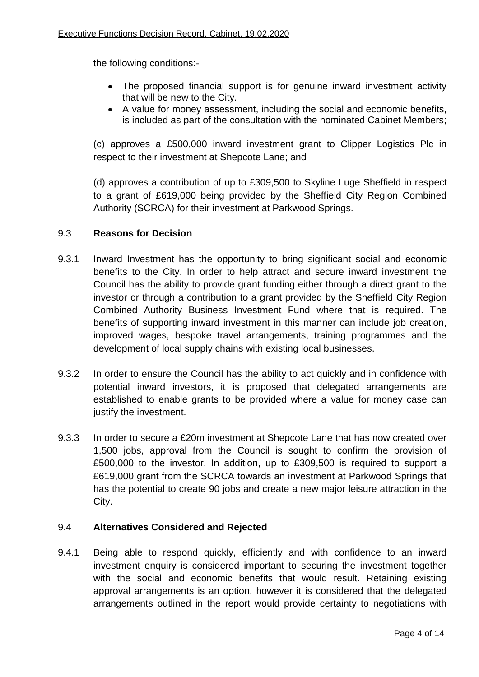the following conditions:-

- The proposed financial support is for genuine inward investment activity that will be new to the City.
- A value for money assessment, including the social and economic benefits, is included as part of the consultation with the nominated Cabinet Members;

(c) approves a £500,000 inward investment grant to Clipper Logistics Plc in respect to their investment at Shepcote Lane; and

(d) approves a contribution of up to £309,500 to Skyline Luge Sheffield in respect to a grant of £619,000 being provided by the Sheffield City Region Combined Authority (SCRCA) for their investment at Parkwood Springs.

# 9.3 **Reasons for Decision**

- 9.3.1 Inward Investment has the opportunity to bring significant social and economic benefits to the City. In order to help attract and secure inward investment the Council has the ability to provide grant funding either through a direct grant to the investor or through a contribution to a grant provided by the Sheffield City Region Combined Authority Business Investment Fund where that is required. The benefits of supporting inward investment in this manner can include job creation, improved wages, bespoke travel arrangements, training programmes and the development of local supply chains with existing local businesses.
- 9.3.2 In order to ensure the Council has the ability to act quickly and in confidence with potential inward investors, it is proposed that delegated arrangements are established to enable grants to be provided where a value for money case can justify the investment.
- 9.3.3 In order to secure a £20m investment at Shepcote Lane that has now created over 1,500 jobs, approval from the Council is sought to confirm the provision of £500,000 to the investor. In addition, up to £309,500 is required to support a £619,000 grant from the SCRCA towards an investment at Parkwood Springs that has the potential to create 90 jobs and create a new major leisure attraction in the City.

#### 9.4 **Alternatives Considered and Rejected**

9.4.1 Being able to respond quickly, efficiently and with confidence to an inward investment enquiry is considered important to securing the investment together with the social and economic benefits that would result. Retaining existing approval arrangements is an option, however it is considered that the delegated arrangements outlined in the report would provide certainty to negotiations with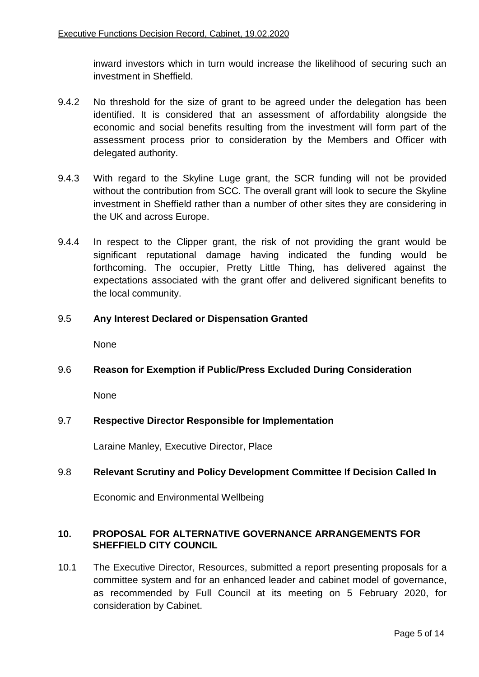inward investors which in turn would increase the likelihood of securing such an investment in Sheffield.

- 9.4.2 No threshold for the size of grant to be agreed under the delegation has been identified. It is considered that an assessment of affordability alongside the economic and social benefits resulting from the investment will form part of the assessment process prior to consideration by the Members and Officer with delegated authority.
- 9.4.3 With regard to the Skyline Luge grant, the SCR funding will not be provided without the contribution from SCC. The overall grant will look to secure the Skyline investment in Sheffield rather than a number of other sites they are considering in the UK and across Europe.
- 9.4.4 In respect to the Clipper grant, the risk of not providing the grant would be significant reputational damage having indicated the funding would be forthcoming. The occupier, Pretty Little Thing, has delivered against the expectations associated with the grant offer and delivered significant benefits to the local community.

# 9.5 **Any Interest Declared or Dispensation Granted**

None

#### 9.6 **Reason for Exemption if Public/Press Excluded During Consideration**

None

#### 9.7 **Respective Director Responsible for Implementation**

Laraine Manley, Executive Director, Place

#### 9.8 **Relevant Scrutiny and Policy Development Committee If Decision Called In**

Economic and Environmental Wellbeing

#### **10. PROPOSAL FOR ALTERNATIVE GOVERNANCE ARRANGEMENTS FOR SHEFFIELD CITY COUNCIL**

10.1 The Executive Director, Resources, submitted a report presenting proposals for a committee system and for an enhanced leader and cabinet model of governance, as recommended by Full Council at its meeting on 5 February 2020, for consideration by Cabinet.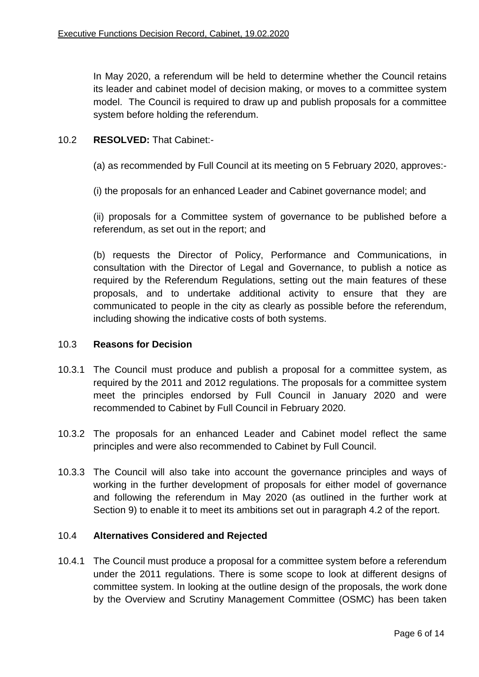In May 2020, a referendum will be held to determine whether the Council retains its leader and cabinet model of decision making, or moves to a committee system model. The Council is required to draw up and publish proposals for a committee system before holding the referendum.

# 10.2 **RESOLVED:** That Cabinet:-

(a) as recommended by Full Council at its meeting on 5 February 2020, approves:-

(i) the proposals for an enhanced Leader and Cabinet governance model; and

(ii) proposals for a Committee system of governance to be published before a referendum, as set out in the report; and

(b) requests the Director of Policy, Performance and Communications, in consultation with the Director of Legal and Governance, to publish a notice as required by the Referendum Regulations, setting out the main features of these proposals, and to undertake additional activity to ensure that they are communicated to people in the city as clearly as possible before the referendum, including showing the indicative costs of both systems.

#### 10.3 **Reasons for Decision**

- 10.3.1 The Council must produce and publish a proposal for a committee system, as required by the 2011 and 2012 regulations. The proposals for a committee system meet the principles endorsed by Full Council in January 2020 and were recommended to Cabinet by Full Council in February 2020.
- 10.3.2 The proposals for an enhanced Leader and Cabinet model reflect the same principles and were also recommended to Cabinet by Full Council.
- 10.3.3 The Council will also take into account the governance principles and ways of working in the further development of proposals for either model of governance and following the referendum in May 2020 (as outlined in the further work at Section 9) to enable it to meet its ambitions set out in paragraph 4.2 of the report.

#### 10.4 **Alternatives Considered and Rejected**

10.4.1 The Council must produce a proposal for a committee system before a referendum under the 2011 regulations. There is some scope to look at different designs of committee system. In looking at the outline design of the proposals, the work done by the Overview and Scrutiny Management Committee (OSMC) has been taken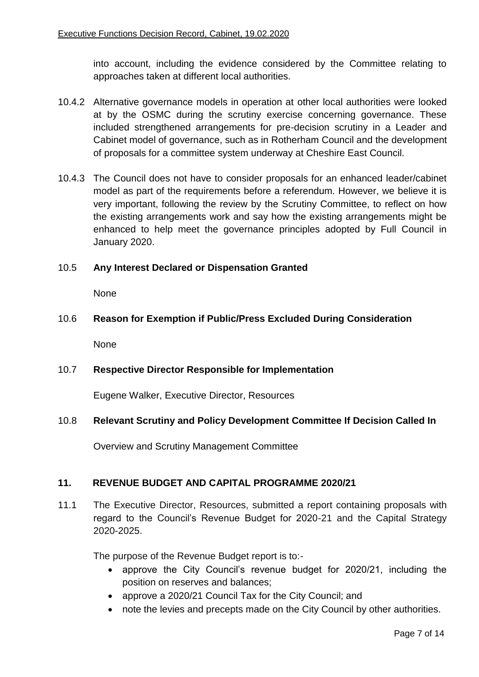into account, including the evidence considered by the Committee relating to approaches taken at different local authorities.

- 10.4.2 Alternative governance models in operation at other local authorities were looked at by the OSMC during the scrutiny exercise concerning governance. These included strengthened arrangements for pre-decision scrutiny in a Leader and Cabinet model of governance, such as in Rotherham Council and the development of proposals for a committee system underway at Cheshire East Council.
- 10.4.3 The Council does not have to consider proposals for an enhanced leader/cabinet model as part of the requirements before a referendum. However, we believe it is very important, following the review by the Scrutiny Committee, to reflect on how the existing arrangements work and say how the existing arrangements might be enhanced to help meet the governance principles adopted by Full Council in January 2020.

# 10.5 **Any Interest Declared or Dispensation Granted**

None

# 10.6 **Reason for Exemption if Public/Press Excluded During Consideration**

None

#### 10.7 **Respective Director Responsible for Implementation**

Eugene Walker, Executive Director, Resources

# 10.8 **Relevant Scrutiny and Policy Development Committee If Decision Called In**

Overview and Scrutiny Management Committee

# **11. REVENUE BUDGET AND CAPITAL PROGRAMME 2020/21**

11.1 The Executive Director, Resources, submitted a report containing proposals with regard to the Council's Revenue Budget for 2020-21 and the Capital Strategy 2020-2025.

The purpose of the Revenue Budget report is to:-

- approve the City Council's revenue budget for 2020/21, including the position on reserves and balances;
- approve a 2020/21 Council Tax for the City Council; and
- note the levies and precepts made on the City Council by other authorities.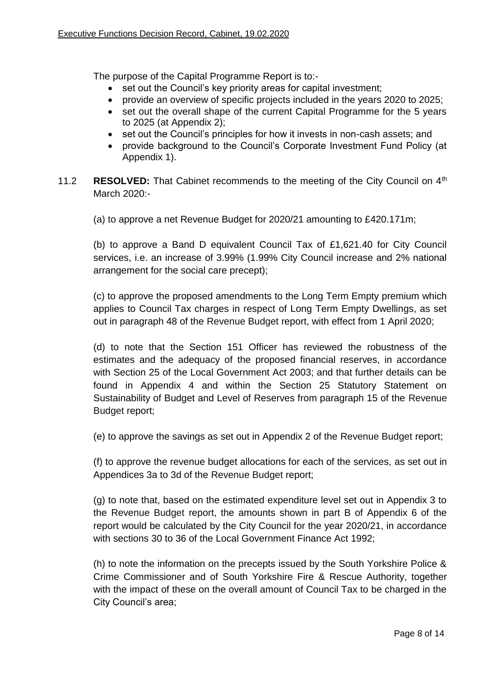The purpose of the Capital Programme Report is to:-

- set out the Council's key priority areas for capital investment;
- provide an overview of specific projects included in the years 2020 to 2025;
- set out the overall shape of the current Capital Programme for the 5 years to 2025 (at Appendix 2);
- set out the Council's principles for how it invests in non-cash assets; and
- provide background to the Council's Corporate Investment Fund Policy (at Appendix 1).
- 11.2 **RESOLVED:** That Cabinet recommends to the meeting of the City Council on 4th March 2020:-

(a) to approve a net Revenue Budget for 2020/21 amounting to £420.171m;

(b) to approve a Band D equivalent Council Tax of £1,621.40 for City Council services, i.e. an increase of 3.99% (1.99% City Council increase and 2% national arrangement for the social care precept);

(c) to approve the proposed amendments to the Long Term Empty premium which applies to Council Tax charges in respect of Long Term Empty Dwellings, as set out in paragraph 48 of the Revenue Budget report, with effect from 1 April 2020;

(d) to note that the Section 151 Officer has reviewed the robustness of the estimates and the adequacy of the proposed financial reserves, in accordance with Section 25 of the Local Government Act 2003; and that further details can be found in Appendix 4 and within the Section 25 Statutory Statement on Sustainability of Budget and Level of Reserves from paragraph 15 of the Revenue Budget report;

(e) to approve the savings as set out in Appendix 2 of the Revenue Budget report;

(f) to approve the revenue budget allocations for each of the services, as set out in Appendices 3a to 3d of the Revenue Budget report;

(g) to note that, based on the estimated expenditure level set out in Appendix 3 to the Revenue Budget report, the amounts shown in part B of Appendix 6 of the report would be calculated by the City Council for the year 2020/21, in accordance with sections 30 to 36 of the Local Government Finance Act 1992;

(h) to note the information on the precepts issued by the South Yorkshire Police & Crime Commissioner and of South Yorkshire Fire & Rescue Authority, together with the impact of these on the overall amount of Council Tax to be charged in the City Council's area;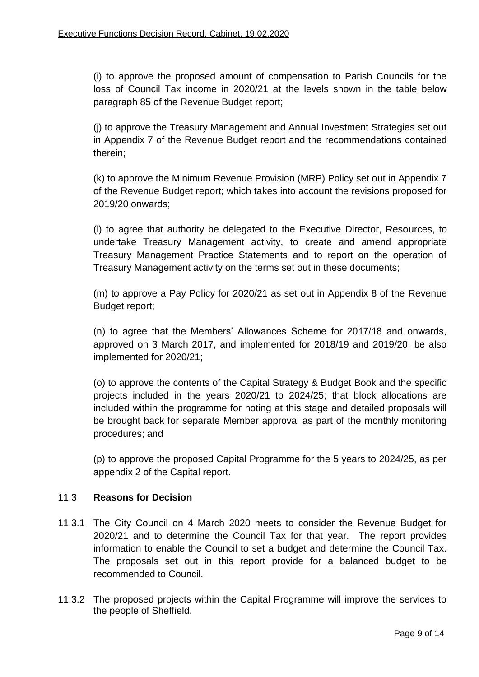(i) to approve the proposed amount of compensation to Parish Councils for the loss of Council Tax income in 2020/21 at the levels shown in the table below paragraph 85 of the Revenue Budget report;

(j) to approve the Treasury Management and Annual Investment Strategies set out in Appendix 7 of the Revenue Budget report and the recommendations contained therein;

(k) to approve the Minimum Revenue Provision (MRP) Policy set out in Appendix 7 of the Revenue Budget report; which takes into account the revisions proposed for 2019/20 onwards;

(l) to agree that authority be delegated to the Executive Director, Resources, to undertake Treasury Management activity, to create and amend appropriate Treasury Management Practice Statements and to report on the operation of Treasury Management activity on the terms set out in these documents;

(m) to approve a Pay Policy for 2020/21 as set out in Appendix 8 of the Revenue Budget report;

(n) to agree that the Members' Allowances Scheme for 2017/18 and onwards, approved on 3 March 2017, and implemented for 2018/19 and 2019/20, be also implemented for 2020/21;

(o) to approve the contents of the Capital Strategy & Budget Book and the specific projects included in the years 2020/21 to 2024/25; that block allocations are included within the programme for noting at this stage and detailed proposals will be brought back for separate Member approval as part of the monthly monitoring procedures; and

(p) to approve the proposed Capital Programme for the 5 years to 2024/25, as per appendix 2 of the Capital report.

#### 11.3 **Reasons for Decision**

- 11.3.1 The City Council on 4 March 2020 meets to consider the Revenue Budget for 2020/21 and to determine the Council Tax for that year. The report provides information to enable the Council to set a budget and determine the Council Tax. The proposals set out in this report provide for a balanced budget to be recommended to Council.
- 11.3.2 The proposed projects within the Capital Programme will improve the services to the people of Sheffield.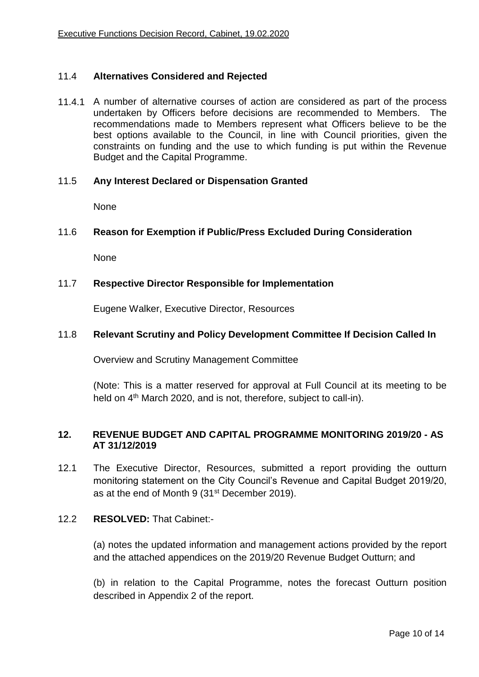#### 11.4 **Alternatives Considered and Rejected**

11.4.1 A number of alternative courses of action are considered as part of the process undertaken by Officers before decisions are recommended to Members. The recommendations made to Members represent what Officers believe to be the best options available to the Council, in line with Council priorities, given the constraints on funding and the use to which funding is put within the Revenue Budget and the Capital Programme.

#### 11.5 **Any Interest Declared or Dispensation Granted**

None

#### 11.6 **Reason for Exemption if Public/Press Excluded During Consideration**

**None** 

#### 11.7 **Respective Director Responsible for Implementation**

Eugene Walker, Executive Director, Resources

#### 11.8 **Relevant Scrutiny and Policy Development Committee If Decision Called In**

Overview and Scrutiny Management Committee

(Note: This is a matter reserved for approval at Full Council at its meeting to be held on 4<sup>th</sup> March 2020, and is not, therefore, subject to call-in).

#### **12. REVENUE BUDGET AND CAPITAL PROGRAMME MONITORING 2019/20 - AS AT 31/12/2019**

12.1 The Executive Director, Resources, submitted a report providing the outturn monitoring statement on the City Council's Revenue and Capital Budget 2019/20, as at the end of Month 9 (31<sup>st</sup> December 2019).

#### 12.2 **RESOLVED:** That Cabinet:-

(a) notes the updated information and management actions provided by the report and the attached appendices on the 2019/20 Revenue Budget Outturn; and

(b) in relation to the Capital Programme, notes the forecast Outturn position described in Appendix 2 of the report.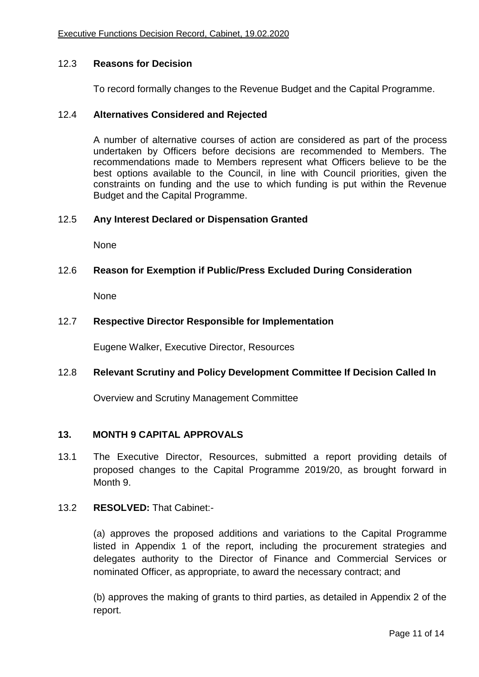#### 12.3 **Reasons for Decision**

To record formally changes to the Revenue Budget and the Capital Programme.

#### 12.4 **Alternatives Considered and Rejected**

A number of alternative courses of action are considered as part of the process undertaken by Officers before decisions are recommended to Members. The recommendations made to Members represent what Officers believe to be the best options available to the Council, in line with Council priorities, given the constraints on funding and the use to which funding is put within the Revenue Budget and the Capital Programme.

#### 12.5 **Any Interest Declared or Dispensation Granted**

None

#### 12.6 **Reason for Exemption if Public/Press Excluded During Consideration**

None

#### 12.7 **Respective Director Responsible for Implementation**

Eugene Walker, Executive Director, Resources

#### 12.8 **Relevant Scrutiny and Policy Development Committee If Decision Called In**

Overview and Scrutiny Management Committee

#### **13. MONTH 9 CAPITAL APPROVALS**

13.1 The Executive Director, Resources, submitted a report providing details of proposed changes to the Capital Programme 2019/20, as brought forward in Month 9.

#### 13.2 **RESOLVED:** That Cabinet:-

(a) approves the proposed additions and variations to the Capital Programme listed in Appendix 1 of the report, including the procurement strategies and delegates authority to the Director of Finance and Commercial Services or nominated Officer, as appropriate, to award the necessary contract; and

(b) approves the making of grants to third parties, as detailed in Appendix 2 of the report.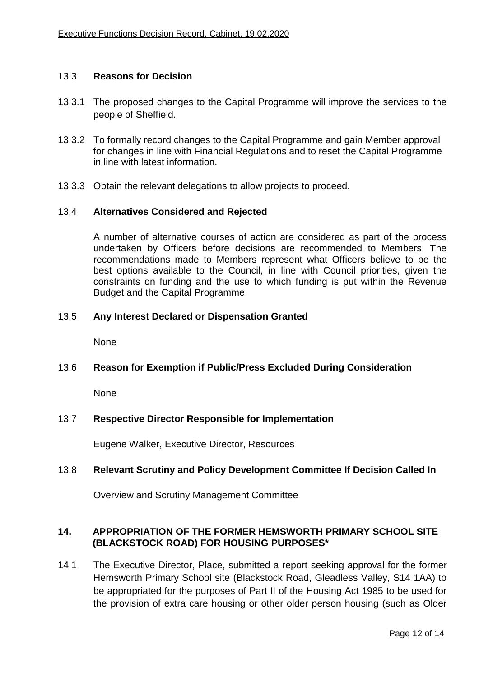#### 13.3 **Reasons for Decision**

- 13.3.1 The proposed changes to the Capital Programme will improve the services to the people of Sheffield.
- 13.3.2 To formally record changes to the Capital Programme and gain Member approval for changes in line with Financial Regulations and to reset the Capital Programme in line with latest information.
- 13.3.3 Obtain the relevant delegations to allow projects to proceed.

#### 13.4 **Alternatives Considered and Rejected**

A number of alternative courses of action are considered as part of the process undertaken by Officers before decisions are recommended to Members. The recommendations made to Members represent what Officers believe to be the best options available to the Council, in line with Council priorities, given the constraints on funding and the use to which funding is put within the Revenue Budget and the Capital Programme.

#### 13.5 **Any Interest Declared or Dispensation Granted**

None

#### 13.6 **Reason for Exemption if Public/Press Excluded During Consideration**

None

#### 13.7 **Respective Director Responsible for Implementation**

Eugene Walker, Executive Director, Resources

#### 13.8 **Relevant Scrutiny and Policy Development Committee If Decision Called In**

Overview and Scrutiny Management Committee

#### **14. APPROPRIATION OF THE FORMER HEMSWORTH PRIMARY SCHOOL SITE (BLACKSTOCK ROAD) FOR HOUSING PURPOSES\***

14.1 The Executive Director, Place, submitted a report seeking approval for the former Hemsworth Primary School site (Blackstock Road, Gleadless Valley, S14 1AA) to be appropriated for the purposes of Part II of the Housing Act 1985 to be used for the provision of extra care housing or other older person housing (such as Older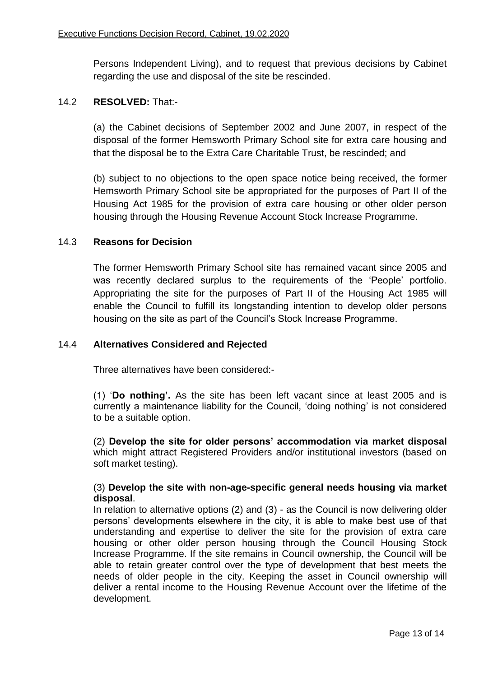Persons Independent Living), and to request that previous decisions by Cabinet regarding the use and disposal of the site be rescinded.

# 14.2 **RESOLVED:** That:-

(a) the Cabinet decisions of September 2002 and June 2007, in respect of the disposal of the former Hemsworth Primary School site for extra care housing and that the disposal be to the Extra Care Charitable Trust, be rescinded; and

(b) subject to no objections to the open space notice being received, the former Hemsworth Primary School site be appropriated for the purposes of Part II of the Housing Act 1985 for the provision of extra care housing or other older person housing through the Housing Revenue Account Stock Increase Programme.

# 14.3 **Reasons for Decision**

The former Hemsworth Primary School site has remained vacant since 2005 and was recently declared surplus to the requirements of the 'People' portfolio. Appropriating the site for the purposes of Part II of the Housing Act 1985 will enable the Council to fulfill its longstanding intention to develop older persons housing on the site as part of the Council's Stock Increase Programme.

#### 14.4 **Alternatives Considered and Rejected**

Three alternatives have been considered:-

(1) '**Do nothing'.** As the site has been left vacant since at least 2005 and is currently a maintenance liability for the Council, 'doing nothing' is not considered to be a suitable option.

(2) **Develop the site for older persons' accommodation via market disposal**  which might attract Registered Providers and/or institutional investors (based on soft market testing).

#### (3) **Develop the site with non-age-specific general needs housing via market disposal**.

In relation to alternative options (2) and (3) - as the Council is now delivering older persons' developments elsewhere in the city, it is able to make best use of that understanding and expertise to deliver the site for the provision of extra care housing or other older person housing through the Council Housing Stock Increase Programme. If the site remains in Council ownership, the Council will be able to retain greater control over the type of development that best meets the needs of older people in the city. Keeping the asset in Council ownership will deliver a rental income to the Housing Revenue Account over the lifetime of the development.